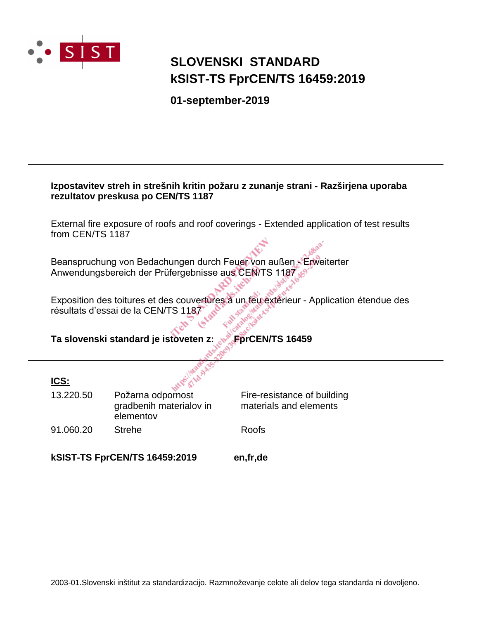

## **SLOVENSKI STANDARD kSIST-TS FprCEN/TS 16459:2019**

**01-september-2019**

## **Izpostavitev streh in strešnih kritin požaru z zunanje strani - Razširjena uporaba rezultatov preskusa po CEN/TS 1187**

External fire expo[sure of roofs and roof coverings - Extended application](Ǚ�f]�9��s��XE�n ���mj�w���F>�H��N�u,�Ht�?0�Gax>?��y�mG��� �Y�U?��}c��sٴ70�m(nc��) of test results from CEN/TS 1187

Beanspruchung von Bedachungen durch Feuer von außen - Erweiterter Anwendungsbereich der Prüfergebnisse aus CEN/TS 1187

Exposition des toitures et des couvertures à un feu extérieur - Application étendue des résultats d'essai de la CEN/TS 1187

**Ta slovenski standard je istoveten z: FprCEN/TS 16459**

#### **ICS:**

| 13.220.50 | Požarna odpornost<br>gradbenih materialov in<br>elementov | Fire-resistance of building<br>materials and elements |
|-----------|-----------------------------------------------------------|-------------------------------------------------------|
| 91.060.20 | <b>Strehe</b>                                             | Roofs                                                 |

**kSIST-TS FprCEN/TS 16459:2019 en,fr,de**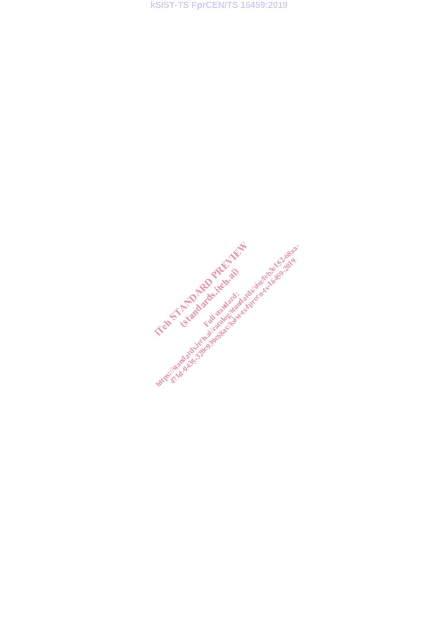Interest of the Acts of Metal Street Gaspie and Metal Acts of Street 2020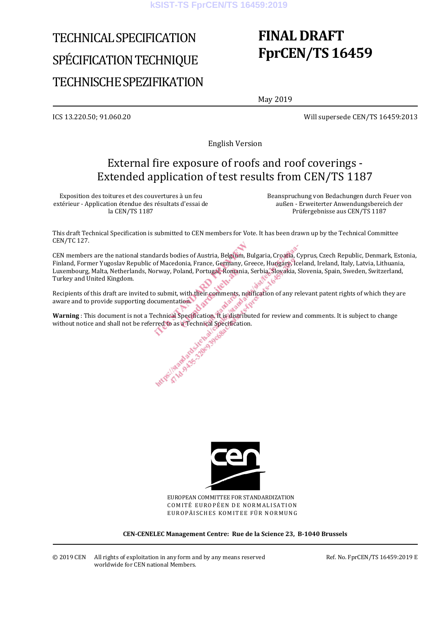# TECHNICAL SPECIFICATION SPÉCIFICATION TECHNIQUE TECHNISCHE SPEZIFIKATION

## **FINAL DRAFT FprCEN/TS 16459**

May 2019

ICS 13.220.50; 91.060.20 Will supersede CEN/TS 16459:2013

English Version

## External fire exposure of roofs and roof coverings - Extended application of test results from CEN/TS 1187

Exposition des toitures et des couvertures à un feu extérieur - Application étendue des résultats d'essai de la CEN/TS 1187

 Beanspruchung von Bedachungen durch Feuer von außen - Erweiterter Anwendungsbereich der Prüfergebnisse aus CEN/TS 1187

This draft Technical S[pecification is submitted to CEN members for Vote. It has been drawn up by](�
n��#�	N�ܚ)861(m��16��jÍG}��B�4�) the Technical Committee CEN/TC 127.

CEN members are the national standards bodies of Austria, Belgium, Bulgaria, Croatia, Cyprus, Czech Republic, Denmark, Estonia, Finland, Former Yugoslav Republic of Macedonia, France, Germany, Greece, Hungary, Iceland, Ireland, Italy, Latvia, Lithuania, Luxembourg, Malta, Netherlands, Norway, Poland, Portugal, Romania, Serbia, Slovakia, Slovenia, Spain, Sweden, Switzerland, Turkey and United Kingdom.

Recipients of this draft are invited to submit, with their comments, notification of any relevant patent rights of which they are aware and to provide supporting documentation.

**Warning** : This document is not a Technical Specification.<br>
without notice and shall not be referred to as a Technical Specification.<br>
Which is a subject to change of the subject to change of the subject to change of the without notice and shall not be referred to as a Technical Specification.



EUROPEAN COMMITTEE FOR STANDARDIZATION COMITÉ EUROPÉEN DE NORMALISATION EUROPÄISCHES KOMITEE FÜR NORMUNG

**CEN-CENELEC Management Centre: Rue de la Science 23, B-1040 Brussels** 

Ref. No. FprCEN/TS 16459:2019 E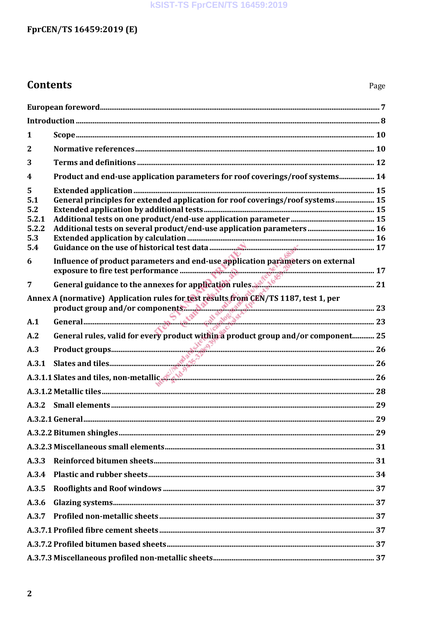## FprCEN/TS 16459:2019 (E)

## **Contents**

| 1            |                                                                                                                                                                                                                                |  |
|--------------|--------------------------------------------------------------------------------------------------------------------------------------------------------------------------------------------------------------------------------|--|
| 2            |                                                                                                                                                                                                                                |  |
| 3            |                                                                                                                                                                                                                                |  |
| 4            | Product and end-use application parameters for roof coverings/roof systems 14                                                                                                                                                  |  |
| 5            |                                                                                                                                                                                                                                |  |
| 5.1          | General principles for extended application for roof coverings/roof systems 15                                                                                                                                                 |  |
| 5.2          |                                                                                                                                                                                                                                |  |
| 5.2.1        |                                                                                                                                                                                                                                |  |
| 5.2.2<br>5.3 |                                                                                                                                                                                                                                |  |
| 5.4          |                                                                                                                                                                                                                                |  |
|              |                                                                                                                                                                                                                                |  |
| 6            | Influence of product parameters and end-use application parameters on external                                                                                                                                                 |  |
| 7            | General guidance to the annexes for application rules.                                                                                                                                                                         |  |
|              | Annex A (normative) Application rules for test results from CEN/TS 1187, test 1, per                                                                                                                                           |  |
|              | product group and/or components and the components of the components of the components of the components of the components of the components of the components of the components of the components of the components of the co |  |
| A.1          |                                                                                                                                                                                                                                |  |
| A.2          | General rules, valid for every product within a product group and/or component 25                                                                                                                                              |  |
| A.3          |                                                                                                                                                                                                                                |  |
| A.3.1        |                                                                                                                                                                                                                                |  |
|              |                                                                                                                                                                                                                                |  |
|              |                                                                                                                                                                                                                                |  |
| A.3.2        |                                                                                                                                                                                                                                |  |
|              |                                                                                                                                                                                                                                |  |
|              |                                                                                                                                                                                                                                |  |
|              |                                                                                                                                                                                                                                |  |
| A.3.3        |                                                                                                                                                                                                                                |  |
| A.3.4        |                                                                                                                                                                                                                                |  |
| A.3.5        |                                                                                                                                                                                                                                |  |
| A.3.6        |                                                                                                                                                                                                                                |  |
| A.3.7        |                                                                                                                                                                                                                                |  |
|              |                                                                                                                                                                                                                                |  |
|              |                                                                                                                                                                                                                                |  |
|              |                                                                                                                                                                                                                                |  |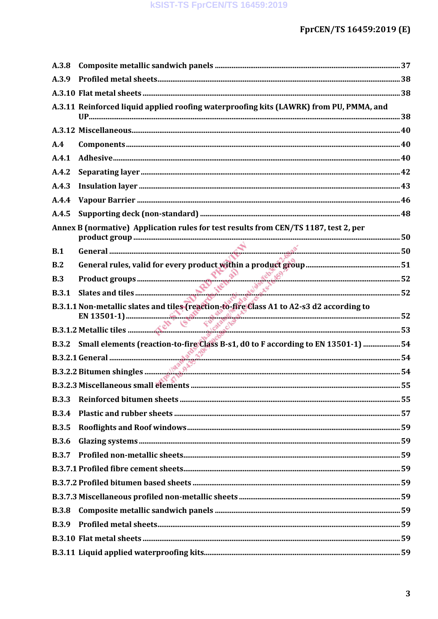| A.3.8        |                                                                                           |    |
|--------------|-------------------------------------------------------------------------------------------|----|
| A.3.9        |                                                                                           |    |
|              |                                                                                           |    |
|              | A.3.11 Reinforced liquid applied roofing waterproofing kits (LAWRK) from PU, PMMA, and    |    |
|              |                                                                                           |    |
| A.4          |                                                                                           |    |
| A.4.1        |                                                                                           |    |
| A.4.2        |                                                                                           |    |
| A.4.3        |                                                                                           |    |
| A.4.4        |                                                                                           |    |
| A.4.5        |                                                                                           |    |
|              | Annex B (normative) Application rules for test results from CEN/TS 1187, test 2, per      |    |
|              |                                                                                           |    |
| B.1          |                                                                                           |    |
| B.2          |                                                                                           |    |
| B.3          |                                                                                           |    |
| <b>B.3.1</b> |                                                                                           |    |
|              | B.3.1.1 Non-metallic slates and tiles (reaction-to-fire Class A1 to A2-s3 d2 according to |    |
|              |                                                                                           |    |
|              | B.3.2 Small elements (reaction-to-fire Class B-s1, d0 to F according to EN 13501-1)  54   |    |
|              |                                                                                           |    |
|              |                                                                                           |    |
|              | B.3.2.3 Miscellaneous small elements                                                      | 55 |
| <b>B.3.3</b> |                                                                                           |    |
|              |                                                                                           |    |
| <b>B.3.4</b> |                                                                                           |    |
| <b>B.3.5</b> |                                                                                           |    |
| <b>B.3.6</b> |                                                                                           |    |
| <b>B.3.7</b> |                                                                                           |    |
|              |                                                                                           |    |
|              |                                                                                           |    |
|              |                                                                                           |    |
| <b>B.3.8</b> |                                                                                           |    |
| <b>B.3.9</b> |                                                                                           |    |
|              |                                                                                           |    |
|              |                                                                                           |    |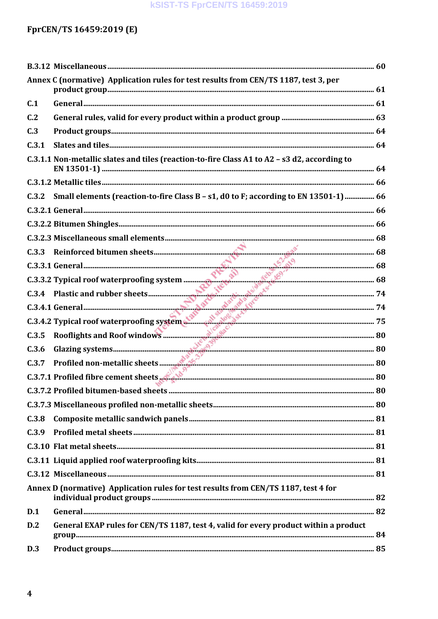|                 | Annex C (normative) Application rules for test results from CEN/TS 1187, test 3, per         |  |
|-----------------|----------------------------------------------------------------------------------------------|--|
| C.1             |                                                                                              |  |
| C.2             |                                                                                              |  |
| C <sub>13</sub> |                                                                                              |  |
| C.3.1           |                                                                                              |  |
|                 | C.3.1.1 Non-metallic slates and tiles (reaction-to-fire Class A1 to A2 - s3 d2, according to |  |
|                 |                                                                                              |  |
|                 |                                                                                              |  |
| C.3.2           | Small elements (reaction-to-fire Class B - s1, d0 to F; according to EN 13501-1)  66         |  |
|                 |                                                                                              |  |
|                 |                                                                                              |  |
|                 |                                                                                              |  |
|                 |                                                                                              |  |
|                 |                                                                                              |  |
|                 |                                                                                              |  |
|                 |                                                                                              |  |
|                 |                                                                                              |  |
|                 |                                                                                              |  |
|                 |                                                                                              |  |
|                 |                                                                                              |  |
|                 |                                                                                              |  |
|                 |                                                                                              |  |
|                 |                                                                                              |  |
|                 |                                                                                              |  |
| C.3.8           |                                                                                              |  |
| C.3.9           |                                                                                              |  |
|                 |                                                                                              |  |
|                 |                                                                                              |  |
|                 |                                                                                              |  |
|                 | Annex D (normative) Application rules for test results from CEN/TS 1187, test 4 for          |  |
| D.1             |                                                                                              |  |
| D.2             | General EXAP rules for CEN/TS 1187, test 4, valid for every product within a product         |  |
| D.3             |                                                                                              |  |
|                 |                                                                                              |  |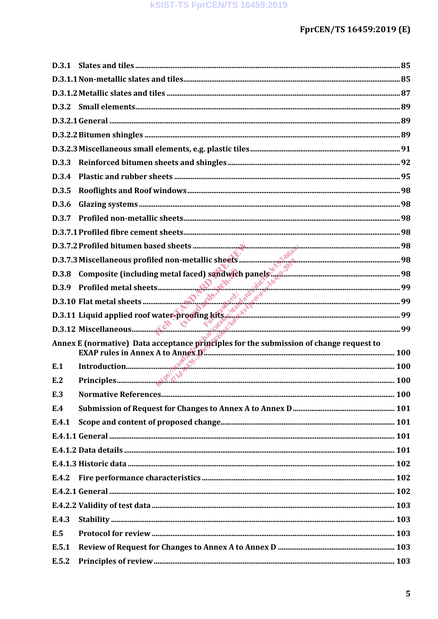| D.3.3 |                                                                                        |  |
|-------|----------------------------------------------------------------------------------------|--|
| D.3.4 |                                                                                        |  |
| D.3.5 |                                                                                        |  |
| D.3.6 |                                                                                        |  |
| D.3.7 |                                                                                        |  |
|       |                                                                                        |  |
|       |                                                                                        |  |
|       |                                                                                        |  |
|       |                                                                                        |  |
|       |                                                                                        |  |
|       |                                                                                        |  |
|       |                                                                                        |  |
|       |                                                                                        |  |
|       | Annex E (normative) Data acceptance principles for the submission of change request to |  |
|       |                                                                                        |  |
| E.1   |                                                                                        |  |
| E.2   |                                                                                        |  |
| E.3   |                                                                                        |  |
| E.4   |                                                                                        |  |
| E.4.1 |                                                                                        |  |
|       |                                                                                        |  |
|       |                                                                                        |  |
|       |                                                                                        |  |
| E.4.2 |                                                                                        |  |
|       |                                                                                        |  |
|       |                                                                                        |  |
| E.4.3 |                                                                                        |  |
| E.5   |                                                                                        |  |
| E.5.1 |                                                                                        |  |
| E.5.2 |                                                                                        |  |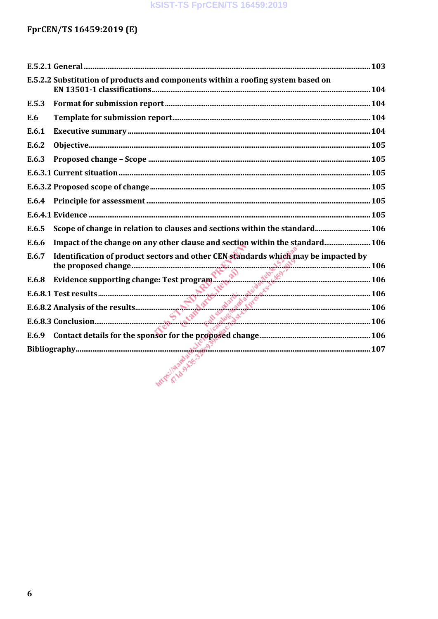|       | E.5.2.2 Substitution of products and components within a roofing system based on                                       |  |
|-------|------------------------------------------------------------------------------------------------------------------------|--|
| E.5.3 |                                                                                                                        |  |
| E.6   |                                                                                                                        |  |
| E.6.1 |                                                                                                                        |  |
| E.6.2 |                                                                                                                        |  |
| E.6.3 |                                                                                                                        |  |
|       |                                                                                                                        |  |
|       |                                                                                                                        |  |
| E.6.4 |                                                                                                                        |  |
|       |                                                                                                                        |  |
| E.6.5 | Scope of change in relation to clauses and sections within the standard 106                                            |  |
| E.6.6 | Impact of the change on any other clause and section within the standard 106                                           |  |
| E.6.7 | Identification of product sectors and other CEN standards which may be impacted by                                     |  |
|       |                                                                                                                        |  |
|       |                                                                                                                        |  |
|       |                                                                                                                        |  |
|       |                                                                                                                        |  |
| E.6.9 |                                                                                                                        |  |
|       | المستند بين المستند بين المستند بين المستند بين المستند بين المستند بين المستند بين المستند بين المستند و Bibliography |  |
|       | MYP / Bandages                                                                                                         |  |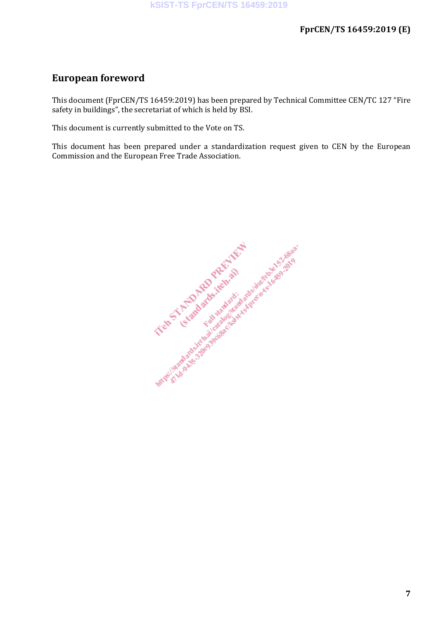## **European foreword**

This document (FprCEN/TS 16459:2019) has been prepared by Technical Committee CEN/TC 127 "Fire safety in buildings", the secretariat of which is held by BSI.

This document is currently submitted to the Vote on TS.

This document has been prepared under a standardization request given to CEN by the European Commission and the European Free Trade Association.

INTERNATIONAL STATE OF THE ASSESSMENT OF THE ASSESSMENT OF THE ASSESSMENT OF THE ASSESSMENT OF THE ASSESSMENT OF THE ASSESSMENT OF THE ASSESSMENT OF THE ASSESSMENT OF THE ASSESSMENT OF THE ASSESSMENT OF THE ASSESSMENT OF T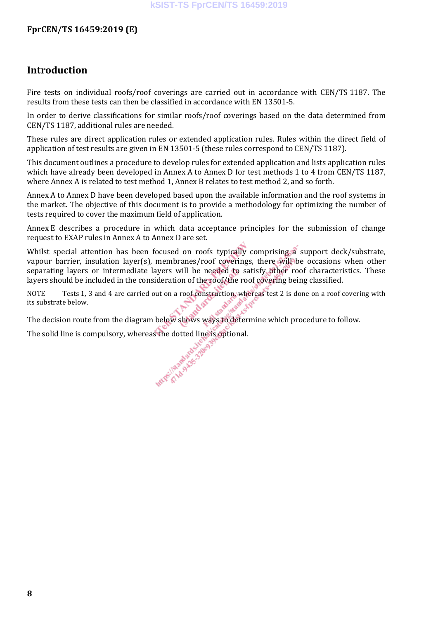## **Introduction**

Fire tests on individual roofs/roof coverings are carried out in accordance with CEN/TS 1187. The results from these tests can then be classified in accordance with EN 13501-5.

In order to derive classifications for similar roofs/roof coverings based on the data determined from CEN/TS 1187, additional rules are needed.

These rules are direct application rules or extended application rules. Rules within the direct field of application of test results are given in EN 13501-5 (these rules correspond to CEN/TS 1187).

This document outlines a procedure to develop rules for extended application and lists application rules which have already been developed in Annex A to Annex D for test methods 1 to 4 from CEN/TS 1187, where Annex A is related to test method 1, Annex B relates to test method 2, and so forth.

Annex A to Annex D have been developed based upon the available information and the roof systems in the market. The objective of this document is to provide a methodology for optimizing the number of tests required to cover the maximum field of application.

Annex E describes a procedure in which data acceptance principles for the submission of change request to EXAP rules in Annex A to Annex D are set.

Whilst special attention [has been focused on roofs typically comprising a suppor](��y9��5P��\���a���Syʳ��G��&���6 ���5ѹ���8�LLg����ဖȖp����z̀G��)t deck/substrate, vapour barrier, insulation layer(s), membranes/roof coverings, there will be occasions when other separating layers or intermediate layers will be needed to satisfy other roof characteristics. These layers should be included in the consideration of the roof/the roof covering being classified.

NOTE Tests 1, 3 and 4 are carried out on a roof construction, whereas test 2 is done on a roof covering with its substrate below. ∾

The decision route from the diagram below shows ways to determine which procedure to follow.<br>The solid line is compulsory, whereas the dotted line is optional.

The solid line is compulsory, whereas the dotted line is optional.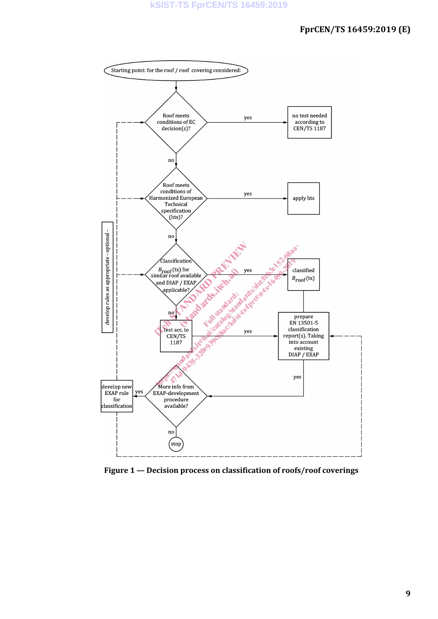

**Figure 1 — Decision process on classification of roofs/roof coverings**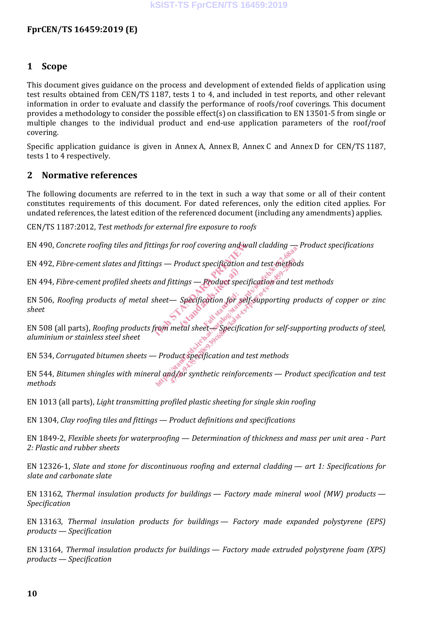#### **1 Scope**

This document gives guidance on the process and development of extended fields of application using test results obtained from CEN/TS 1187, tests 1 to 4, and included in test reports, and other relevant information in order to evaluate and classify the performance of roofs/roof coverings. This document provides a methodology to consider the possible effect(s) on classification to EN 13501-5 from single or multiple changes to the individual product and end-use application parameters of the roof/roof covering.

Specific application guidance is given in Annex A, Annex B, Annex C and Annex D for CEN/TS 1187, tests 1 to 4 respectively.

#### **2 Normative references**

The following documents are referred to in the text in such a way that some or all of their content constitutes requirements of this document. For dated references, only the edition cited applies. For undated references, the l[atest edition of the referenced document \(including any amen](�g�]�4�`�b��K�PL��_27�
�Kr/!]u�s�]כ$/�ާ26��gHe���q.��0b�T�:�Tg���0I�h�H����䥻��#��
Jҏ�Y����)dments) applies.

CEN/TS 1187:2012, *Test methods for external fire exposure to roofs*

EN 490, *Concrete roofing tiles and fittings for roof covering and wall cladding — Product specifications*

EN 492, *Fibre-cement slates and fittings — Product specification and test methods*

EN 494, *Fibre-cement profiled sheets and fittings — Product specification and test methods*

EN 506, *Roofing products of metal sheet— Specification for self-supporting products of copper or zinc sheet*

EN 508 (all parts), *Roofing products from metal sheet— Specification for self-supporting products of steel, aluminium or stainless steel sheet*

EN 534, *Corrugated bitumen sheets — Product specification and test methods*

EN 544, *Bitumen shingles with mineral and/or synthetic reinforcements — Product specification and test methods*

EN 1013 (all parts), *Light transmitting profiled plastic sheeting for single skin roofing*

EN 1304, *Clay roofing tiles and fittings — Product definitions and specifications*

EN 1849-2, *Flexible sheets for waterproofing — Determination of thickness and mass per unit area - Part 2: Plastic and rubber sheets*

EN 12326-1, *Slate and stone for discontinuous roofing and external cladding — art 1: Specifications for slate and carbonate slate*

EN 13162, *Thermal insulation products for buildings — Factory made mineral wool (MW) products — Specification*

EN 13163, *Thermal insulation products for buildings — Factory made expanded polystyrene (EPS) products — Specification*

EN 13164, *Thermal insulation products for buildings — Factory made extruded polystyrene foam (XPS) products — Specification*